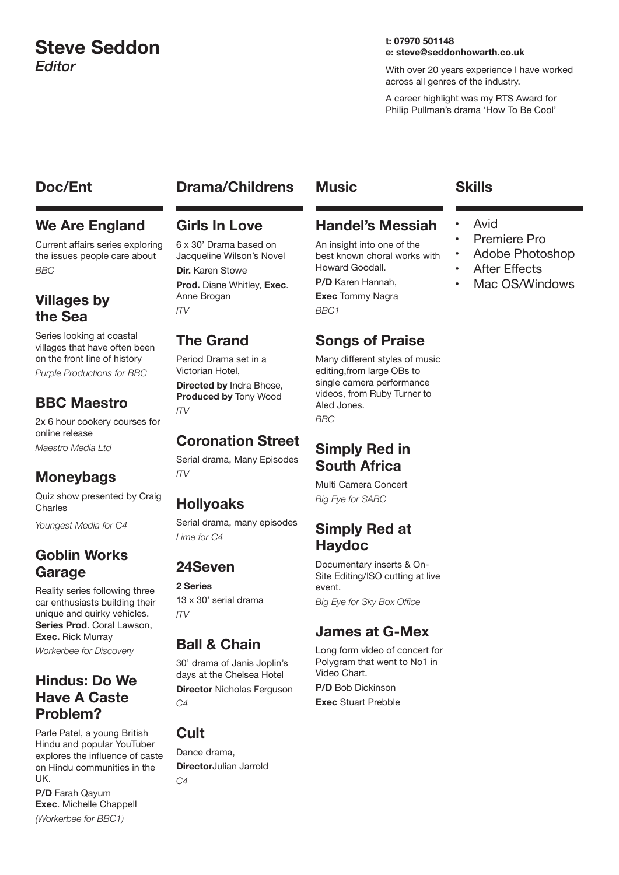# **Steve Seddon** *Editor*

#### **t: 07970 501148 e: steve@seddonhowarth.co.uk**

With over 20 years experience I have worked across all genres of the industry.

A career highlight was my RTS Award for Philip Pullman's drama 'How To Be Cool'

#### **Doc/Ent Drama/Childrens Music Skills**

#### **We Are England**

Current affairs series exploring the issues people care about *BBC*

#### **Villages by the Sea**

Series looking at coastal villages that have often been on the front line of history *Purple Productions for BBC*

# **BBC Maestro**

2x 6 hour cookery courses for online release *Maestro Media Ltd*

# **Moneybags**

Quiz show presented by Craig Charles

*Youngest Media for C4*

# **Goblin Works Garage**

Reality series following three car enthusiasts building their unique and quirky vehicles. **Series Prod**. Coral Lawson, **Exec.** Rick Murray

*Workerbee for Discovery*

# **Hindus: Do We Have A Caste Problem?**

**P/D** Farah Qayum **Exec**. Michelle Chappell *(Workerbee for BBC1)*

Parle Patel, a young British Hindu and popular YouTuber explores the influence of caste on Hindu communities in the UK.

# **Girls In Love**

6 x 30' Drama based on Jacqueline Wilson's Novel **Dir.** Karen Stowe **Prod.** Diane Whitley, **Exec**. Anne Brogan *ITV*

# **The Grand**

Period Drama set in a Victorian Hotel,

**Directed by** Indra Bhose, **Produced by** Tony Wood *ITV*

# **Coronation Street**

Serial drama, Many Episodes *ITV*

# **Hollyoaks**

Serial drama, many episodes *Lime for C4*

# **24Seven**

**2 Series**

13 x 30' serial drama  $I<sub>T</sub>$ 

# **Ball & Chain**

30' drama of Janis Joplin's days at the Chelsea Hotel **Director** Nicholas Ferguson *C4*

# **Cult**

Dance drama, **Director**Julian Jarrold *C4*

# **Handel's Messiah**

An insight into one of the best known choral works with Howard Goodall.

**P/D** Karen Hannah,

**Exec** Tommy Nagra *BBC1*

# **Songs of Praise**

Many different styles of music editing,from large OBs to single camera performance videos, from Ruby Turner to Aled Jones. *BBC*

# **Simply Red in South Africa**

Multi Camera Concert *Big Eye for SABC*

#### **Simply Red at Haydoc**

Documentary inserts & On-Site Editing/ISO cutting at live event. *Big Eye for Sky Box Office*

# **James at G-Mex**

Long form video of concert for Polygram that went to No1 in Video Chart.

**P/D** Bob Dickinson **Exec** Stuart Prebble

- 
- **Avid**
- Premiere Pro
- Adobe Photoshop
- **After Effects**
- Mac OS/Windows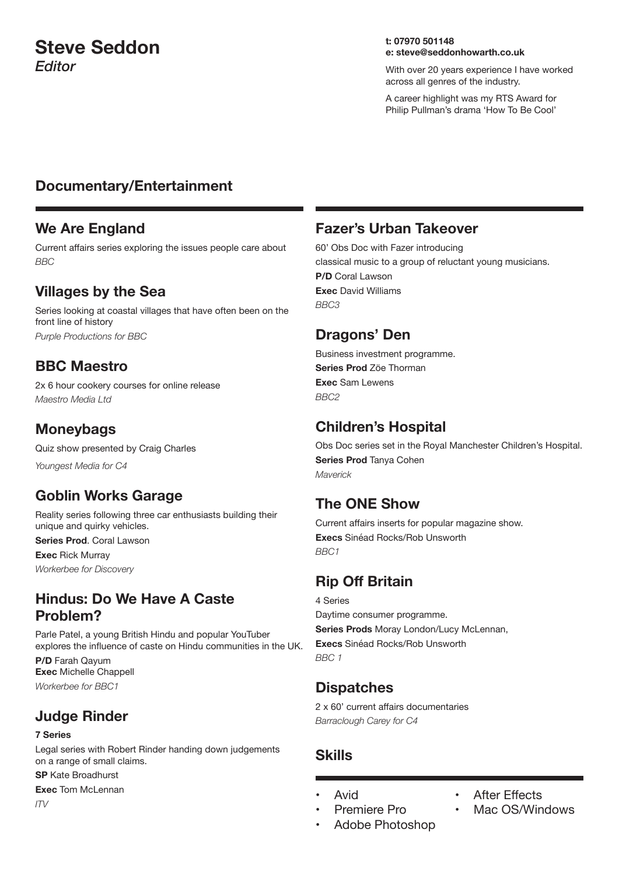# **Steve Seddon** *Editor*

#### **t: 07970 501148 e: steve@seddonhowarth.co.uk**

With over 20 years experience I have worked across all genres of the industry.

A career highlight was my RTS Award for Philip Pullman's drama 'How To Be Cool'

#### **Documentary/Entertainment**

#### **We Are England**

Current affairs series exploring the issues people care about *BBC*

#### **Villages by the Sea**

Series looking at coastal villages that have often been on the front line of history *Purple Productions for BBC*

#### **BBC Maestro**

2x 6 hour cookery courses for online release *Maestro Media Ltd*

# **Moneybags**

Quiz show presented by Craig Charles *Youngest Media for C4*

# **Goblin Works Garage**

Reality series following three car enthusiasts building their unique and quirky vehicles.

**Series Prod**. Coral Lawson

**Exec** Rick Murray *Workerbee for Discovery*

# **Hindus: Do We Have A Caste Problem?**

Parle Patel, a young British Hindu and popular YouTuber explores the influence of caste on Hindu communities in the UK. **P/D** Farah Qayum **Exec** Michelle Chappell *Workerbee for BBC1*

# **Judge Rinder**

#### **7 Series**

Legal series with Robert Rinder handing down judgements on a range of small claims. **SP** Kate Broadhurst

**Exec** Tom McLennan *ITV*

#### **Fazer's Urban Takeover**

60' Obs Doc with Fazer introducing classical music to a group of reluctant young musicians. **P/D** Coral Lawson **Exec** David Williams *BBC3*

#### **Dragons' Den**

Business investment programme. **Series Prod** Zöe Thorman **Exec** Sam Lewens *BBC2*

# **Children's Hospital**

Obs Doc series set in the Royal Manchester Children's Hospital. **Series Prod** Tanya Cohen *Maverick*

#### **The ONE Show**

Current affairs inserts for popular magazine show. **Execs** Sinéad Rocks/Rob Unsworth *BBC1*

# **Rip Off Britain**

#### 4 Series

Daytime consumer programme. **Series Prods** Moray London/Lucy McLennan, **Execs** Sinéad Rocks/Rob Unsworth *BBC 1*

# **Dispatches**

2 x 60' current affairs documentaries *Barraclough Carey for C4*

# **Skills**

- **Avid**
- Premiere Pro
- Adobe Photoshop
- **After Effects**
- Mac OS/Windows